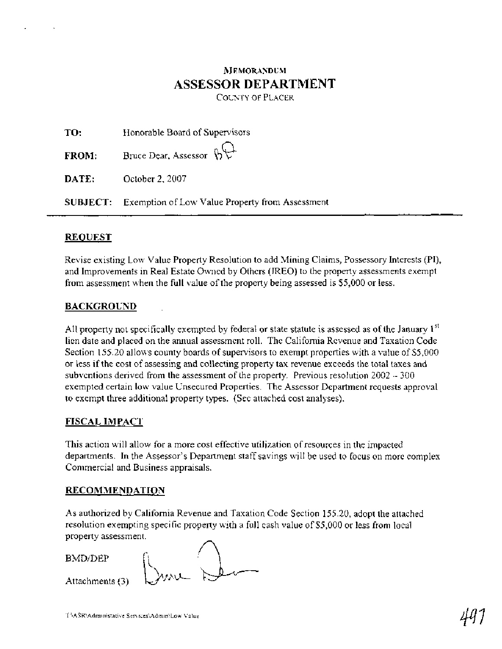## **NEMORANDUM ASSESSOR DEPARTMENT**

COUNTY OF PLACER

| TO:          | Honorable Board of Supervisors                                  |  |  |
|--------------|-----------------------------------------------------------------|--|--|
| <b>FROM:</b> | Bruce Dear, Assessor $\mathfrak{h}\mathfrak{L}^+$               |  |  |
| DATE:        | October 2, 2007                                                 |  |  |
|              | <b>SUBJECT:</b> Exemption of Low Value Property from Assessment |  |  |

## **REQUEST**

Revise existing Low Value Property Resolution to add Mining Claims, Possessory Interests (PI), and Improvements in Real Estate Owned by Others (IREO) to the property assessments exempt from assessment when the full value of the property being assessed is \$5,000 or less.

## **BACKGROUND**

All property not specifically exempted by federal or state statute is assessed as of the January  $1^{st}$ lien date and placed on the annual assessment roll. The California Revenue and Taxation Code Section 155.20 allows county boards of supervisors to exempt properties with a value of \$5,000 or less if the cost of assessing and collecting property tax revenue exceeds the total taxes and subventions derived from the assessment of the property. Previous resolution 2002 - <sup>300</sup> exempted certain low value Unsecured Properties. The Assessor Department requests approval to exempt three additional property types. (See attached cost analyses).

## **FISCAL IMPACT**

This action will allow for a more cost effective utilization of resources in the impacted departments. In the Assessor's Department staff savings will be used to focus on more complex Commercial and Business appraisals.

## **RECOMMENDATION**

As authorized by California Revenue and Taxation Code Section 155.20, adopt the attached resolution exempting specific property with a full cash value of \$5,000 or less from local property assessment.

BMDIDEP

Attachments (3)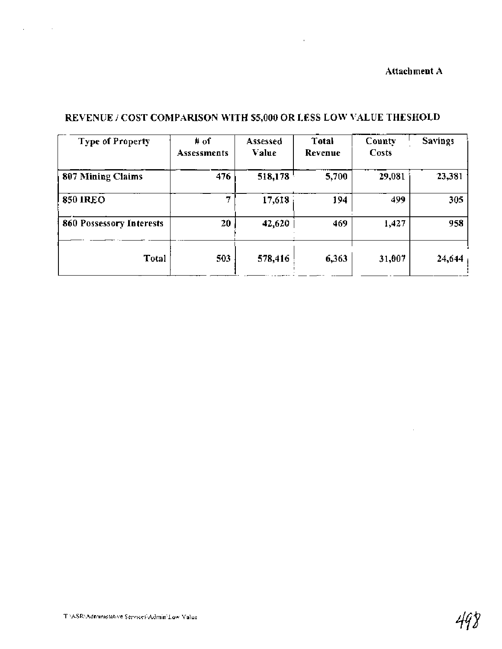## **Attachment A**

 $\mathcal{L}^{\mathcal{L}}$  and  $\mathcal{L}^{\mathcal{L}}$ 

| <b>Type of Property</b>  | # of<br><b>Assessments</b> | Assessed<br>Value | Total<br>Revenue | County<br>Costs | <b>Savings</b> |  |
|--------------------------|----------------------------|-------------------|------------------|-----------------|----------------|--|
| 807 Mining Claims        | 476                        | 518,178           | 5,700            | 29,081          | 23,381         |  |
| <b>850 IREO</b>          |                            | 17,618            | 194              | 499             | 305            |  |
| 860 Possessory Interests | 20                         | 42,620            | 469              | 1,427           | 958            |  |
| Total                    | 503                        | 578,416           | 6,363            | 31,007          | 24,644         |  |

## **REVENUE** / **COST COMPARISON WITH \$5,000 OR LESS LOW VALUE THESHOLD**

 $\sim 10^{-10}$ 

 $\Delta \phi = 0.01$  and  $\Delta \phi = 0.01$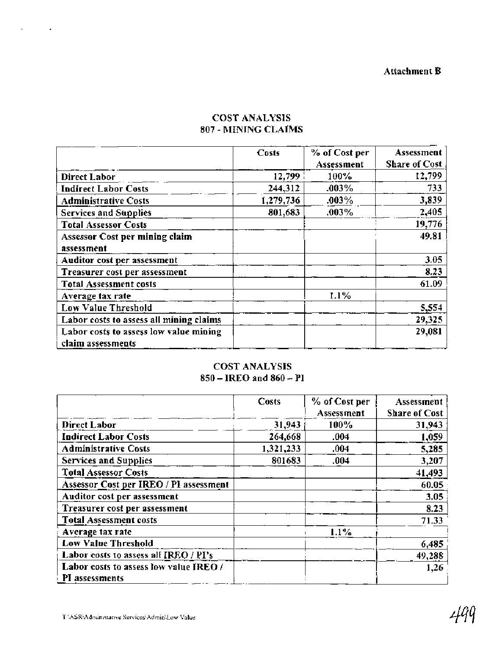|                                                             | Costs     | % of Cost per<br>Assessment | Assessment<br><b>Share of Cost</b> |
|-------------------------------------------------------------|-----------|-----------------------------|------------------------------------|
| <b>Direct Labor</b>                                         | 12,799    | 100%                        | 12,799                             |
| <b>Indirect Labor Costs</b>                                 | 244,312   | .003%                       | 733                                |
| <b>Administrative Costs</b>                                 | 1,279,736 | .003%                       | 3,839                              |
| <b>Services and Supplies</b>                                | 801,683   | .003%                       | 2,405                              |
| <b>Total Assessor Costs</b>                                 |           |                             | 19,776                             |
| <b>Assessor Cost per mining claim</b>                       |           |                             | 49.81                              |
| assessment                                                  |           |                             |                                    |
| Auditor cost per assessment                                 |           |                             | 3.05                               |
| Treasurer cost per assessment                               |           |                             | 8.23                               |
| <b>Total Assessment costs</b>                               |           |                             | 61.09                              |
| Average tax rate                                            |           | $1.1\%$                     |                                    |
| <b>Low Value Threshold</b>                                  |           |                             | 5,554                              |
| Labor costs to assess all mining claims                     |           |                             | 29,325                             |
| Labor costs to assess low value mining<br>claim assessments |           |                             | 29,081                             |

## COST ANALYSIS **807** - MINING CLAIMS

## COST ANALYSIS **<sup>850</sup>**- IREO and **860** - PI

|                                                          | Costs     | % of Cost per | Assessment           |
|----------------------------------------------------------|-----------|---------------|----------------------|
|                                                          |           | Assessment    | <b>Share of Cost</b> |
| <b>Direct Labor</b>                                      | 31,943    | 100%          | 31,943               |
| <b>Indirect Labor Costs</b>                              | 264,668   | .004          | 1,059                |
| <b>Administrative Costs</b>                              | 1,321,233 | .004          | 5,285                |
| <b>Services and Supplies</b>                             | 801683    | .004          | 3,207                |
| <b>Total Assessor Costs</b>                              |           |               | 41,493               |
| Assessor Cost per IREO / PI assessment                   |           |               | 60.05                |
| Auditor cost per assessment                              |           |               | 3.05                 |
| Treasurer cost per assessment                            |           |               | 8.23                 |
| <b>Total Assessment costs</b>                            |           |               | 71.33                |
| Average tax rate                                         |           | $1.1\%$       |                      |
| Low Value Threshold                                      |           |               | 6,485                |
| Labor costs to assess all IREO / PI's                    |           |               | 49,288               |
| Labor costs to assess low value JREO /<br>PI assessments |           |               | 1,26                 |

 $\sim 10^{11}$  km  $^{-1}$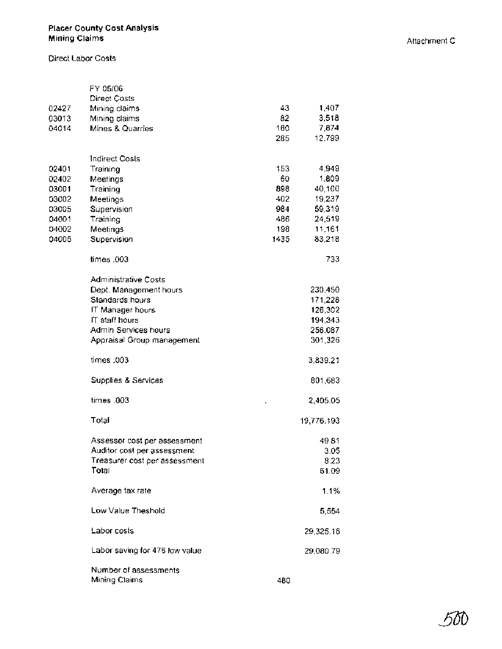#### **Placer County Cost Analysis Mining Claims** Attachment C

Direct Labor Costs

|       | FY 05/06                       |      |            |
|-------|--------------------------------|------|------------|
|       | <b>Direct Costs</b>            |      |            |
| 02427 | Mining claims                  | 43   | 1,407      |
| 03013 | Mining claims                  | 82   | 3,518      |
| 04014 | Mines & Quarries               | 160  | 7,874      |
|       |                                | 285  | 12,799     |
|       | Indirect Costs                 |      |            |
| 02401 | Training                       | 153  | 4,949      |
| 02402 | Meetings                       | 60   | 1,809      |
| 03001 | Training                       | 898  | 40,100     |
| 03002 | Meetings                       | 402  | 19,237     |
| 03005 | Supervision                    | 984  | 59,319     |
| 04001 | Training                       | 486  | 24,519     |
| 04002 | Meetings                       | 198  | 11,161     |
| 04005 | Supervision                    | 1435 | 83,218     |
|       | times .003                     |      | 733        |
|       | <b>Administrative Costs</b>    |      |            |
|       | Dept. Management hours         |      | 230,450    |
|       | Standards hours                |      | 171,228    |
|       | IT Manager hours               |      | 126,302    |
|       | IT staff hours                 |      | 194,343    |
|       | Admin Services hours           |      | 256,087    |
|       | Appraisal Group management     |      | 301,326    |
|       | times .003                     |      | 3,839.21   |
|       | Supplies & Services            |      | 801,683    |
|       | times .003                     |      | 2,405.05   |
|       | Total                          |      | 19,776.193 |
|       | Assessor cost per assessment   |      | 49.81      |
|       | Auditor cost per assessment    |      | 3.05       |
|       | Treasurer cost per assessment  |      | 8.23       |
|       | Total                          |      | 61.09      |
|       | Average tax rate               |      | 1.1%       |
|       | Low Value Theshold             |      | 5,554      |
|       | Labor costs                    |      | 29,325.16  |
|       | Labor saving for 476 low value |      | 29,080.79  |
|       | Number of assessments          |      |            |
|       | Mining Claims                  | 480  |            |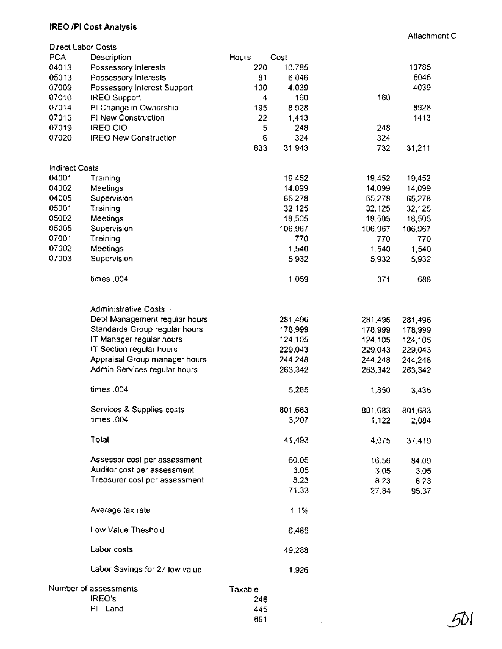#### **IRE0 /PI** Cost Analysis

Attachment C

-501

| Direct Labor Costs    |                                |            |         |         |         |
|-----------------------|--------------------------------|------------|---------|---------|---------|
| PCA                   | Description                    | Hours      | Cost    |         |         |
| 04013                 | Possessory Interests           | 220        | 10,785  |         | 10785   |
| 05013                 | Possessory Interests           | 81         | 6,046   |         | 6046    |
| 07009                 | Possessory Interest Support    | 100        | 4,039   |         | 4039    |
| 07010                 | <b>IREO Support</b>            | 4          | 160     | 160     |         |
| 07014                 | PI Change in Ownership         | 195        | 8,928   |         | 8928    |
| 07015                 | PI New Construction            | 22         | 1,413   |         | 1413    |
| 07019                 | IREO CIO                       | 5          | 248     | 248     |         |
| 07020                 | <b>IREO New Construction</b>   | 6          | 324     | 324     |         |
|                       |                                | 633        | 31,943  | 732     | 31,211  |
| <b>Indirect Costs</b> |                                |            |         |         |         |
| 04001                 | Training                       |            | 19,452  | 19,452  | 19,452  |
| 04002                 | Meetings                       |            | 14,099  | 14,099  | 14,099  |
| 04005                 | Supervision                    |            | 65,278  | 65,278  | 65,278  |
| 05001                 | Training                       |            | 32,125  | 32,125  | 32,125  |
| 05002                 | Meetings                       |            | 18,505  | 18,505  | 18,505  |
| 05005                 | Supervision                    |            | 106,967 | 106,967 | 106,967 |
| 07001                 | Training                       |            | 770     | 770     | 770     |
| 07002                 | Meetings                       |            | 1,540   | 1,540   | 1,540   |
| 07003                 | Supervision                    |            | 5,932   | 5,932   | 5,932   |
|                       |                                |            |         |         |         |
|                       | times.004                      |            | 1,059   | 371     | 688     |
|                       | Administrative Costs           |            |         |         |         |
|                       | Dept Management regular hours  |            | 281,496 | 281,496 | 281,496 |
|                       | Standards Group regular hours  |            | 178,999 | 178,999 | 178,999 |
|                       | IT Manager regular hours       |            | 124,105 | 124,105 | 124,105 |
|                       | IT Section regular hours       |            | 229,043 | 229,043 | 229,043 |
|                       | Appraisal Group manager hours  |            | 244,248 | 244,248 | 244,248 |
|                       | Admin Services regular hours   |            | 263,342 | 263,342 | 263,342 |
|                       | times .004                     |            | 5,285   | 1,850   | 3,435   |
|                       | Services & Supplies costs      |            | 801,683 | 801,683 | 801,683 |
|                       | times .004                     |            | 3,207   | 1,122   | 2,084   |
|                       | Total                          |            | 41,493  | 4,075   | 37,419  |
|                       | Assessor cost per assessment   |            | 60.05   | 16.56   | 84.09   |
|                       | Auditor cost per assessment    |            | 3.05    | 3.05    | 3.05    |
|                       | Treasurer cost per assessment  |            | 8.23    | 8.23    | 8.23    |
|                       |                                |            | 71.33   | 27.84   | 95.37   |
|                       | Average tax rate               |            | 1.1%    |         |         |
|                       | Low Value Theshold             |            | 6,485   |         |         |
|                       | Labor costs                    |            | 49,288  |         |         |
|                       | Labor Savings for 27 low value |            | 1,926   |         |         |
|                       | Number of assessments          | Taxable    |         |         |         |
|                       | <b>IREO's</b>                  | 246        |         |         |         |
|                       | PI - Land                      | 445<br>691 |         |         |         |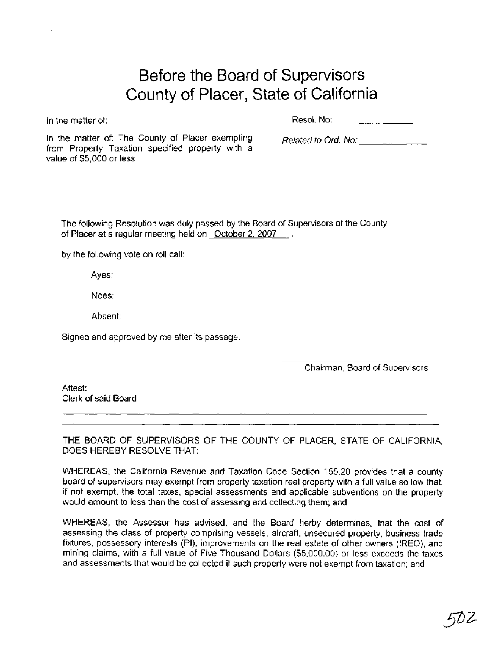# Before the Board of Supervisors County of Placer, State of California

In the matter of:  $\qquad \qquad$  Resol. No:  $\qquad \qquad$   $\qquad$   $\qquad$   $\qquad$   $\qquad$   $\qquad$   $\qquad$   $\qquad$   $\qquad$   $\qquad$   $\qquad$   $\qquad$   $\qquad$   $\qquad$   $\qquad$   $\qquad$   $\qquad$   $\qquad$   $\qquad$   $\qquad$   $\qquad$   $\qquad$   $\qquad$   $\qquad$   $\qquad$   $\qquad$   $\qquad$   $\qquad$   $\qquad$   $\qquad$ 

In the matter of: The County of Placer exempting  $Related to Ord. No:$ from Property Taxation specified property with a value of \$5,000 or less

The following Resolution was duly passed by the Board of Supervisors of the County of Placer at a regular meeting held on October 2, 2007 ...

by the following vote on roll call:

Ayes:

Noes:

Absent:

Signed and approved by me after its passage.

Chairman, Board of Supervisors

Attest: Clerk of said Board

THE BOARD OF SUPERVISORS OF THE COUNTY OF PLACER, STATE OF CALIFORNIA, DOES HEREBY RESOLVE THAT:

WHEREAS, the California Revenue and Taxation Code Section 155.20 provides that a county board of supervisors may exempt from property taxation real property with a full value so low that, if not exempt, the total taxes, special assessments and applicable subventions on the property would amount to less than the cost of assessing and collecting them; and

WHEREAS, the Assessor has advised, and the Board herby determines, that the cost of assessing the class of property comprising vessels, aircraft, unsecured property, business trade fixtures, possessory interests (PI), improvements on the real estate of other owners (IREO), and mining claims, with a full value of Five Thousand Dollars (\$5,000.00) or less exceeds the taxes and assessments that would be collected if such property were not exempt from taxation; and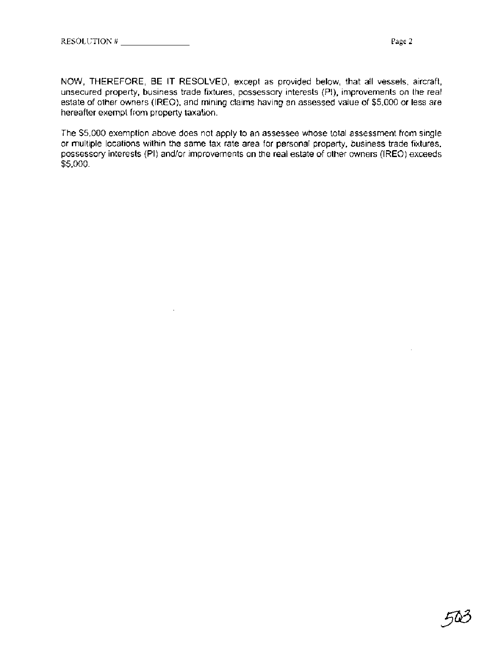NOW, THEREFORE, BE IT RESOLVED, except as provided below, that all vessels, aircraft, unsecured property, business trade fixtures, possessory interests (PI), improvements on the real estate of other owners (IREO), and mining claims having an assessed value of \$5,000 or less are hereafter exempt from property taxation.

The \$5,000 exemption above does not apply to an assessee whose total assessment from single or multiple locations within the same tax rate area for personal property, business trade fixtures, possessory interests (PI) and/or improvements on the real estate of other owners (IREO) exceeds \$5,000.